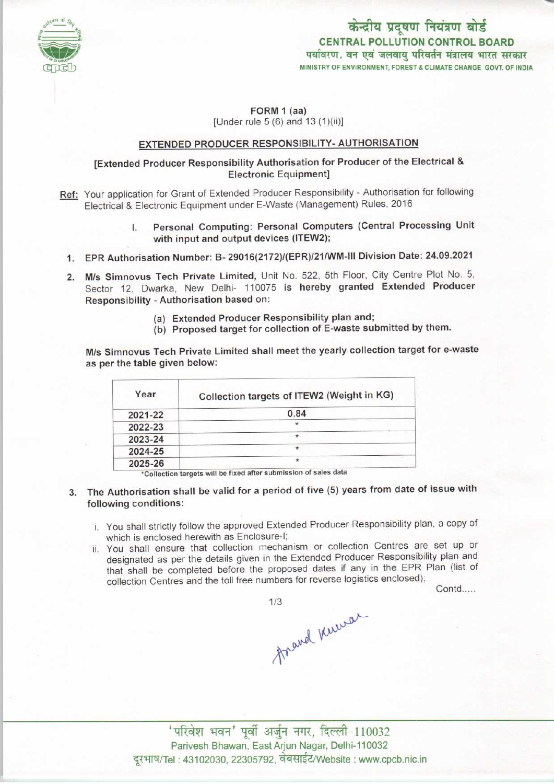

# केन्द्रीय प्रदूषण नियंत्रण बोर्ड CENTRAL POLLUTION CONTROL BOARD<br>पर्यावरण, वन एवं जलवाय परिवर्तन मंत्रालय भारत सरकार MINISTRY OF ENVIRONMENT, FOREST S CLIMATE CHANGE GOVT. OF INDIA

### FORM 1 (aa) [Under rule 5 (6) and 13 (1)(ii)]

## EXTENDED PRODUCER RESPONSIBILITY-AUTHORISATION

## [Extended Producer Responsibility Authorisation for Producer of the Electrical & Electronic Equipment]

- Ref: Your application for Grant of Extended Producer Responsibility Authorisation for following Electrical & Electronic Equipment under E-Waste (Management) Rules, 2016
	- Personal Computing: Personal Computers (Central Processing Unit with input and output devices (ITEW2);
	- 1.EPR Authorisation Number: B- 29016(2172)/(EPR)/21/WM-lll Division Date: 24.09.2021
	- 2.M/s Simnovus Tech Private Limited, Unit No. 522, 5th Floor, City Centre Plot No. 5, Sector 12, Dwarka, New Delhi- 110075 is hereby granted Extended Producer Responsibility -Authorisation based on:
		- (a)Extended Producer Responsibility plan and;
		- (b) Proposed target for collection of E-waste submitted by them.

M/s Simnovus Tech Private Limited shall meet the yearly collection target for e-waste as perthe table given below:

| Year    | Collection targets of ITEW2 (Weight in KG) |
|---------|--------------------------------------------|
| 2021-22 | 0.84                                       |
| 2022-23 | 女                                          |
| 2023-24 | $\star$                                    |
| 2024-25 |                                            |
| 2025-26 | $\star$                                    |

- 3. The Authorisation shall be valid for a period of five (5) years from date of issue with following conditions:
	- i. You shall strictly follow the approved Extended Producer Responsibility plan, a copy of which is enclosed herewith as Enclosure-I;
	- ii. You shall ensure that collection mechanism or collection Centres are set up or designated as per the details given in the Extended Producer Responsibility plan and designated as per the details given in the Extended Froddoor Response.<br>
	that shall be completed before the proposed dates if any in the EPR Plan (list of<br>
	collection Centres and the toll free numbers for reverse logistics

Contd.....

travel Kuevar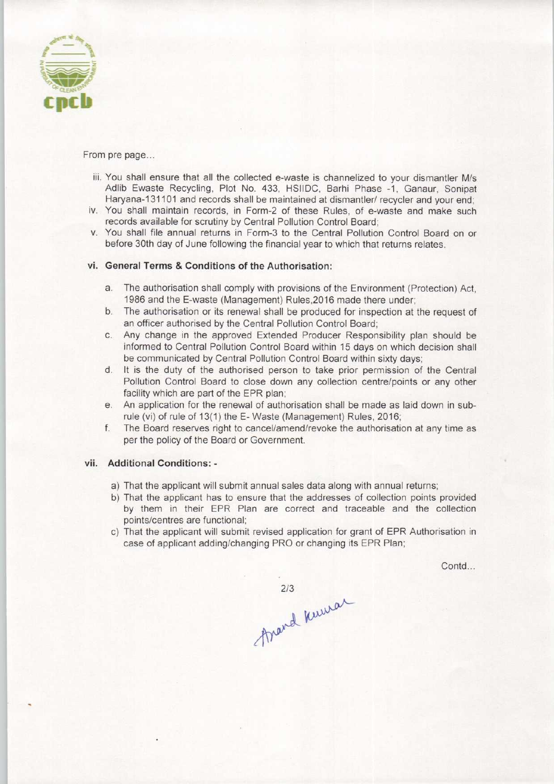

From pre page...

- iii. You shall ensure that all the collected e-waste is channelized to your dismantler M/s Adlib Ewaste Recycling, Plot No. 433, HSIIDC, Barhi Phase -1, Ganaur, Sonipat Haryana-131101 and records shall be maintained at dismantler/ recycler and your end;
- iv. You shall maintain records, in Form-2 of these Rules, of e-waste and make such records available for scrutiny by Central Pollution Control Board;
- v. You shall file annual returns in Form-3 to the Central Pollution Control Board on or before 30th day of June following the financial year to which that returns relates.

# vi. General Terms & Conditions of the Authorisation:

- a.The authorisation shall comply with provisions ofthe Environment (Protection) Act, 1986 and the E-waste (Management) Rules,2016 made there under;
- b. The authorisation or its renewal shall be produced for inspection at the request of an officer authorised by the Central Pollution Control Board;
- c.Any change in the approved Extended Producer Responsibility plan should be informed to Central Pollution Control Board within 15 days on which decision shall be communicated by Central Pollution Control Board within sixty days;
- d. It is the duty of the authorised person to take prior permission of the Central Pollution Control Board to close down any collection centre/points or any other facility which are part of the EPR plan;
- e.An application for the renewal of authorisation shall be made aslaid down in subrule (vi) of rule of 13(1) the E-Waste (Management) Rules, 2016;
- f. The Board reserves right to cancel/amend/revoke the authorisation at any time as per the policy of the Board or Government.

#### vii. Additional Conditions: -

- a) That the applicant will submit annual sales data along with annual returns;
- b) That the applicant has to ensure that the addresses of collection points provided by them in their EPR Plan are correct and traceable and the collection points/centres are functional;
- c) That the applicant will submit revised application for grant of EPR Authorisation in case of applicant adding/changing PRO or changing its EPR Plan;

Contd...

2/3<br>frand knowar